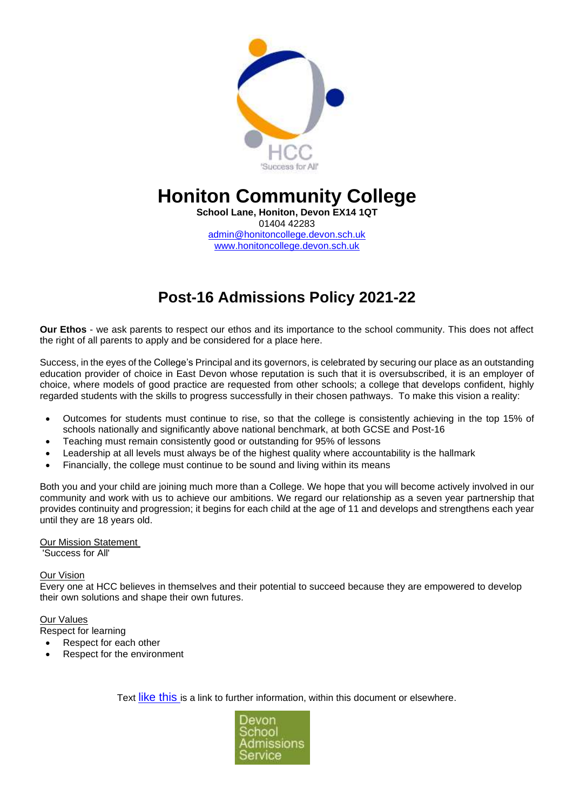

# **Honiton Community College**

**School Lane, Honiton, Devon EX14 1QT** 01404 42283 [admin@honitoncollege.devon.sch.uk](mailto:admin@honitoncollege.devon.sch.uk) www.honitoncollege.devon.sch.uk

# **Post-16 Admissions Policy 2021-22**

**Our Ethos** - we ask parents to respect our ethos and its importance to the school community. This does not affect the right of all parents to apply and be considered for a place here.

Success, in the eyes of the College's Principal and its governors, is celebrated by securing our place as an outstanding education provider of choice in East Devon whose reputation is such that it is oversubscribed, it is an employer of choice, where models of good practice are requested from other schools; a college that develops confident, highly regarded students with the skills to progress successfully in their chosen pathways. To make this vision a reality:

- Outcomes for students must continue to rise, so that the college is consistently achieving in the top 15% of schools nationally and significantly above national benchmark, at both GCSE and Post-16
- Teaching must remain consistently good or outstanding for 95% of lessons
- Leadership at all levels must always be of the highest quality where accountability is the hallmark
- Financially, the college must continue to be sound and living within its means

Both you and your child are joining much more than a College. We hope that you will become actively involved in our community and work with us to achieve our ambitions. We regard our relationship as a seven year partnership that provides continuity and progression; it begins for each child at the age of 11 and develops and strengthens each year until they are 18 years old.

#### Our Mission Statement

'Success for All'

#### Our Vision

Every one at HCC believes in themselves and their potential to succeed because they are empowered to develop their own solutions and shape their own futures.

#### Our Values

Respect for learning

- Respect for each other
- Respect for the environment

Text like this is a link to further information, within this document or elsewhere.

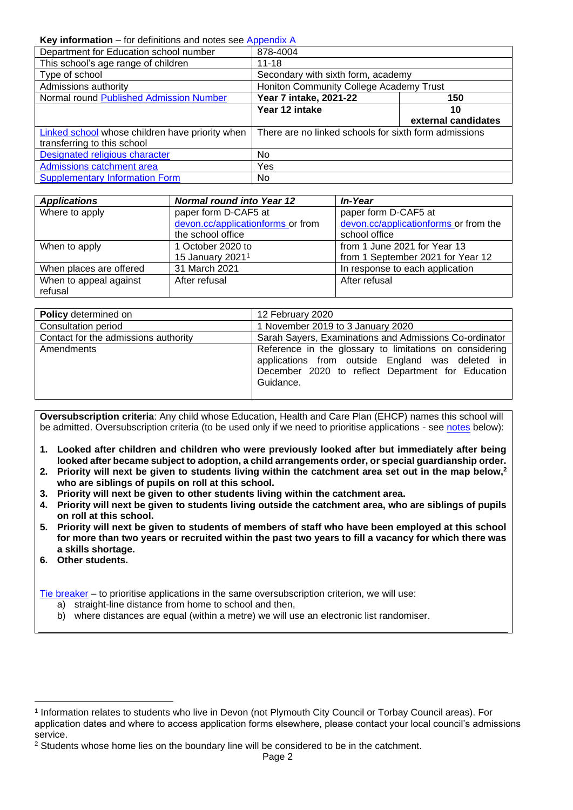#### <span id="page-1-0"></span>**Key information** – for definitions and notes see [Appendix A](#page-6-0)

| Department for Education school number          | 878-4004                                              |                     |
|-------------------------------------------------|-------------------------------------------------------|---------------------|
| This school's age range of children             | $11 - 18$                                             |                     |
| Type of school                                  | Secondary with sixth form, academy                    |                     |
| Admissions authority                            | Honiton Community College Academy Trust               |                     |
| Normal round Published Admission Number         | Year 7 intake, 2021-22                                | 150                 |
|                                                 | Year 12 intake                                        | 10                  |
|                                                 |                                                       | external candidates |
| Linked school whose children have priority when | There are no linked schools for sixth form admissions |                     |
| transferring to this school                     |                                                       |                     |
| Designated religious character                  | No.                                                   |                     |
| Admissions catchment area                       | Yes                                                   |                     |
| <b>Supplementary Information Form</b>           | No.                                                   |                     |

| <b>Applications</b>     | <b>Normal round into Year 12</b>  | <b>In-Year</b>                        |
|-------------------------|-----------------------------------|---------------------------------------|
| Where to apply          | paper form D-CAF5 at              | paper form D-CAF5 at                  |
|                         | devon.cc/applicationforms or from | devon.cc/applicationforms or from the |
|                         | the school office                 | school office                         |
| When to apply           | 1 October 2020 to                 | from 1 June 2021 for Year 13          |
|                         | 15 January 2021 <sup>1</sup>      | from 1 September 2021 for Year 12     |
| When places are offered | 31 March 2021                     | In response to each application       |
| When to appeal against  | After refusal                     | After refusal                         |
| refusal                 |                                   |                                       |

| <b>Policy</b> determined on          | 12 February 2020                                                                                                                                                              |  |
|--------------------------------------|-------------------------------------------------------------------------------------------------------------------------------------------------------------------------------|--|
| Consultation period                  | 1 November 2019 to 3 January 2020                                                                                                                                             |  |
| Contact for the admissions authority | Sarah Sayers, Examinations and Admissions Co-ordinator                                                                                                                        |  |
| Amendments                           | Reference in the glossary to limitations on considering<br>applications from outside England was deleted in<br>December 2020 to reflect Department for Education<br>Guidance. |  |

**Oversubscription criteria**: Any child whose Education, Health and Care Plan (EHCP) names this school will be admitted. Oversubscription criteria (to be used only if we need to prioritise applications - see [notes](#page-10-1) below):

- **1. Looked after children and children who were previously looked after but immediately after being looked after became subject to adoption, a child arrangements order, or special guardianship order.**
- **2. Priority will next be given to students living within the catchment area set out in the map below,<sup>2</sup> who are siblings of pupils on roll at this school.**
- **3. Priority will next be given to other students living within the catchment area.**
- **4. Priority will next be given to students living outside the catchment area, who are siblings of pupils on roll at this school.**
- **5. Priority will next be given to students of members of staff who have been employed at this school for more than two years or recruited within the past two years to fill a vacancy for which there was a skills shortage.**
- **6. Other students.**

[Tie breaker](file://///Ds.devon.gov.uk/docs/Exeter,%20County%20Hall/EALData/Shared/Admissions%20files%20for%20website/2021%20files/2021%20Oreston%20admissions%20policy.docx%23tiebreaker) – to prioritise applications in the same oversubscription criterion, we will use:

- a) straight-line distance from home to school and then,
- b) where distances are equal (within a metre) we will use an electronic list randomiser.

<sup>1</sup> Information relates to students who live in Devon (not Plymouth City Council or Torbay Council areas). For application dates and where to access application forms elsewhere, please contact your local council's admissions service.

 $2$  Students whose home lies on the boundary line will be considered to be in the catchment.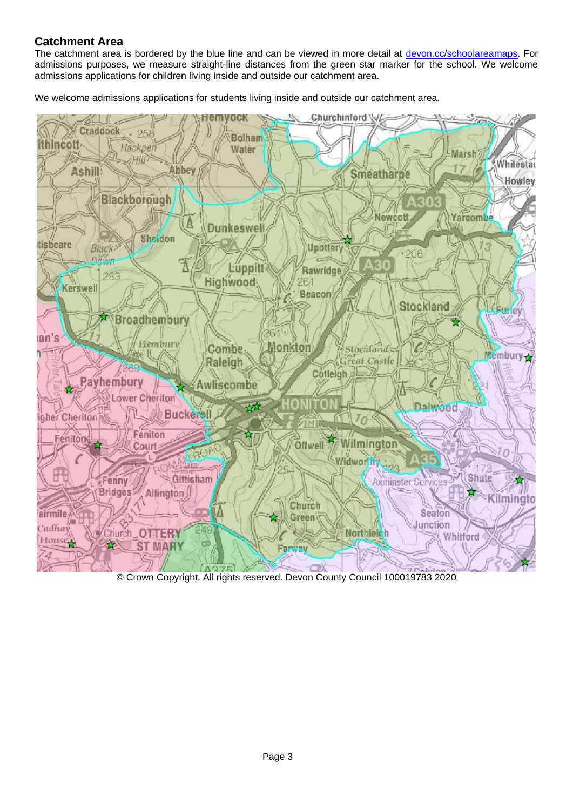## **Catchment Area**

The catchment area is bordered by the blue line and can be viewed in more detail at [devon.cc/schoolareamaps.](http://devon.cc/schoolareamaps) For admissions purposes, we measure straight-line distances from the green star marker for the school. We welcome admissions applications for children living inside and outside our catchment area.

We welcome admissions applications for students living inside and outside our catchment area.



© Crown Copyright. All rights reserved. Devon County Council 100019783 2020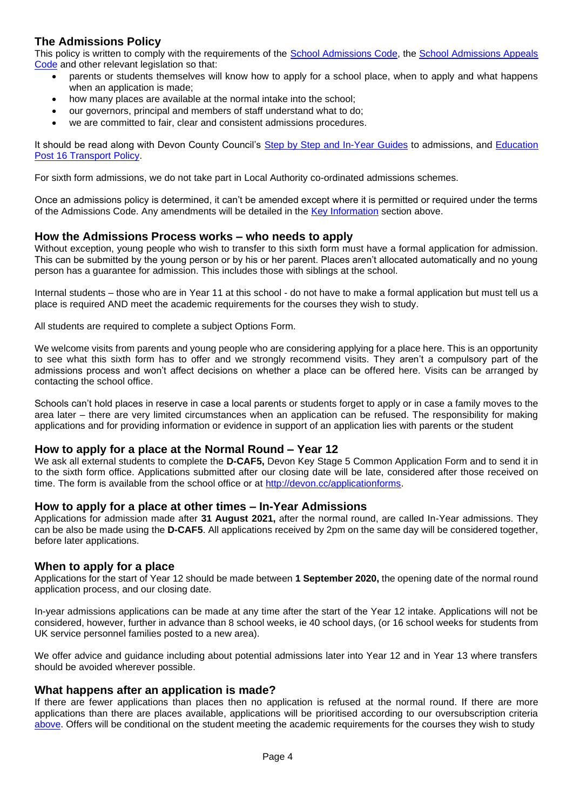## **The Admissions Policy**

This policy is written to comply with the requirements of the [School Admissions Code,](https://www.gov.uk/government/publications/school-admissions-code--2) the [School Admissions Appeals](https://www.gov.uk/government/publications/school-admissions-appeals-code)  [Code](https://www.gov.uk/government/publications/school-admissions-appeals-code) and other relevant legislation so that:

- parents or students themselves will know how to apply for a school place, when to apply and what happens when an application is made;
- how many places are available at the normal intake into the school;
- our governors, principal and members of staff understand what to do;
- we are committed to fair, clear and consistent admissions procedures.

It should be read along with Devon County Council's [Step by Step and In-Year Guides](https://devoncc.sharepoint.com/:f:/r/sites/PublicDocs/Education/Children/Admissions/Composite%20Prospectus?csf=1&e=OwE5y2) to admissions, and [Education](https://devoncc.sharepoint.com/:f:/r/sites/PublicDocs/Education/Children/Admissions/Devon%20LA%20policies?csf=1&e=EC6jZg)  [Post 16 Transport Policy.](https://devoncc.sharepoint.com/:f:/r/sites/PublicDocs/Education/Children/Admissions/Devon%20LA%20policies?csf=1&e=EC6jZg)

For sixth form admissions, we do not take part in Local Authority co-ordinated admissions schemes.

Once an admissions policy is determined, it can't be amended except where it is permitted or required under the terms of the Admissions Code. Any amendments will be detailed in the [Key Information](#page-1-0) section above.

#### **How the Admissions Process works – who needs to apply**

Without exception, young people who wish to transfer to this sixth form must have a formal application for admission. This can be submitted by the young person or by his or her parent. Places aren't allocated automatically and no young person has a guarantee for admission. This includes those with siblings at the school.

Internal students – those who are in Year 11 at this school - do not have to make a formal application but must tell us a place is required AND meet the academic requirements for the courses they wish to study.

All students are required to complete a subject Options Form.

We welcome visits from parents and young people who are considering applying for a place here. This is an opportunity to see what this sixth form has to offer and we strongly recommend visits. They aren't a compulsory part of the admissions process and won't affect decisions on whether a place can be offered here. Visits can be arranged by contacting the school office.

Schools can't hold places in reserve in case a local parents or students forget to apply or in case a family moves to the area later – there are very limited circumstances when an application can be refused. The responsibility for making applications and for providing information or evidence in support of an application lies with parents or the student

#### **How to apply for a place at the Normal Round – Year 12**

We ask all external students to complete the **D-CAF5,** Devon Key Stage 5 Common Application Form and to send it in to the sixth form office. Applications submitted after our closing date will be late, considered after those received on time. The form is available from the school office or at [http://devon.cc/applicationforms.](http://devon.cc/applicationforms)

#### **How to apply for a place at other times – In-Year Admissions**

Applications for admission made after **31 August 2021,** after the normal round, are called In-Year admissions. They can be also be made using the **D-CAF5**. All applications received by 2pm on the same day will be considered together, before later applications.

#### **When to apply for a place**

Applications for the start of Year 12 should be made between **1 September 2020,** the opening date of the normal round application process, and our closing date.

In-year admissions applications can be made at any time after the start of the Year 12 intake. Applications will not be considered, however, further in advance than 8 school weeks, ie 40 school days, (or 16 school weeks for students from UK service personnel families posted to a new area).

We offer advice and guidance including about potential admissions later into Year 12 and in Year 13 where transfers should be avoided wherever possible.

#### **What happens after an application is made?**

If there are fewer applications than places then no application is refused at the normal round. If there are more applications than there are places available, applications will be prioritised according to our oversubscription criteria [above.](#page-10-1) Offers will be conditional on the student meeting the academic requirements for the courses they wish to study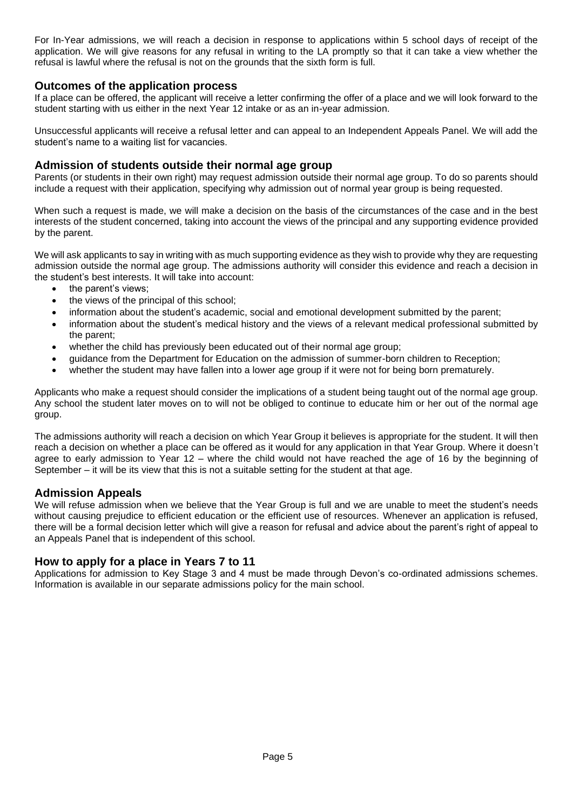For In-Year admissions, we will reach a decision in response to applications within 5 school days of receipt of the application. We will give reasons for any refusal in writing to the LA promptly so that it can take a view whether the refusal is lawful where the refusal is not on the grounds that the sixth form is full.

#### **Outcomes of the application process**

If a place can be offered, the applicant will receive a letter confirming the offer of a place and we will look forward to the student starting with us either in the next Year 12 intake or as an in-year admission.

Unsuccessful applicants will receive a refusal letter and can appeal to an Independent Appeals Panel. We will add the student's name to a waiting list for vacancies.

#### **Admission of students outside their normal age group**

Parents (or students in their own right) may request admission outside their normal age group. To do so parents should include a request with their application, specifying why admission out of normal year group is being requested.

When such a request is made, we will make a decision on the basis of the circumstances of the case and in the best interests of the student concerned, taking into account the views of the principal and any supporting evidence provided by the parent.

We will ask applicants to say in writing with as much supporting evidence as they wish to provide why they are requesting admission outside the normal age group. The admissions authority will consider this evidence and reach a decision in the student's best interests. It will take into account:

- the parent's views;
- the views of the principal of this school:
- information about the student's academic, social and emotional development submitted by the parent;
- information about the student's medical history and the views of a relevant medical professional submitted by the parent;
- whether the child has previously been educated out of their normal age group;
- guidance from the Department for Education on the admission of summer-born children to Reception;
- whether the student may have fallen into a lower age group if it were not for being born prematurely.

Applicants who make a request should consider the implications of a student being taught out of the normal age group. Any school the student later moves on to will not be obliged to continue to educate him or her out of the normal age group.

The admissions authority will reach a decision on which Year Group it believes is appropriate for the student. It will then reach a decision on whether a place can be offered as it would for any application in that Year Group. Where it doesn't agree to early admission to Year 12 – where the child would not have reached the age of 16 by the beginning of September – it will be its view that this is not a suitable setting for the student at that age.

#### **Admission Appeals**

We will refuse admission when we believe that the Year Group is full and we are unable to meet the student's needs without causing prejudice to efficient education or the efficient use of resources. Whenever an application is refused, there will be a formal decision letter which will give a reason for refusal and advice about the parent's right of appeal to an Appeals Panel that is independent of this school.

#### **How to apply for a place in Years 7 to 11**

Applications for admission to Key Stage 3 and 4 must be made through Devon's co-ordinated admissions schemes. Information is available in our separate admissions policy for the main school.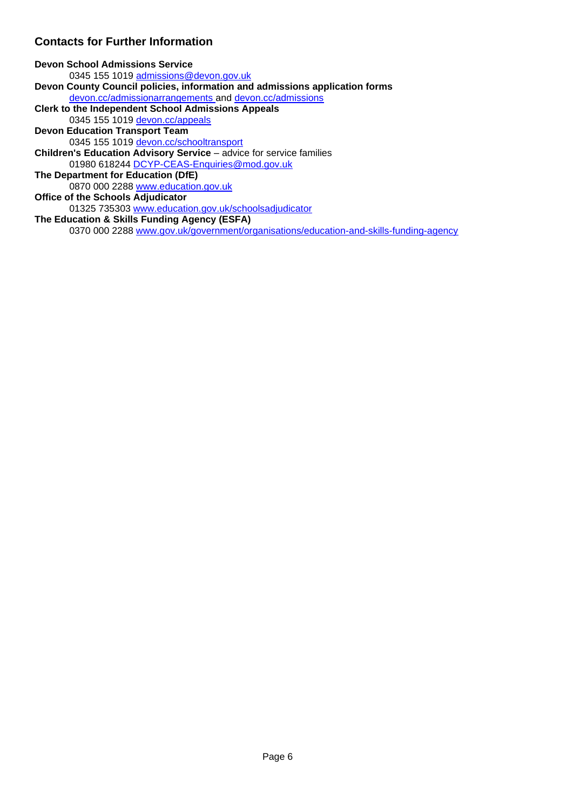### **Contacts for Further Information**

**Devon School Admissions Service** 0345 155 1019 [admissions@devon.gov.uk](mailto:admissions@devon.gov.uk) **Devon County Council policies, information and admissions application forms**  [devon.cc/admissionarrangements](http://devon.cc/admissionarrangements) and [devon.cc/admissions](http://devon.cc/admissions) **Clerk to the Independent School Admissions Appeals** 0345 155 1019 [devon.cc/appeals](http://devon.cc/appeals) **Devon Education Transport Team** 0345 155 1019 [devon.cc/schooltransport](http://devon.cc/schooltransport) **Children's Education Advisory Service** – advice for service families 01980 618244 [DCYP-CEAS-Enquiries@mod.gov.uk](mailto:DCYP-CEAS-Enquiries@mod.gov.uk)  **The Department for Education (DfE)** 0870 000 2288 [www.education.gov.uk](http://www.education.gov.uk/) **Office of the Schools Adjudicator**  01325 735303 [www.education.gov.uk/schoolsadjudicator](http://www.education.gov.uk/schoolsadjudicator) **The Education & Skills Funding Agency (ESFA)**  0370 000 2288 [www.gov.uk/government/organisations/education-and-skills-funding-agency](http://www.gov.uk/government/organisations/education-and-skills-funding-agency)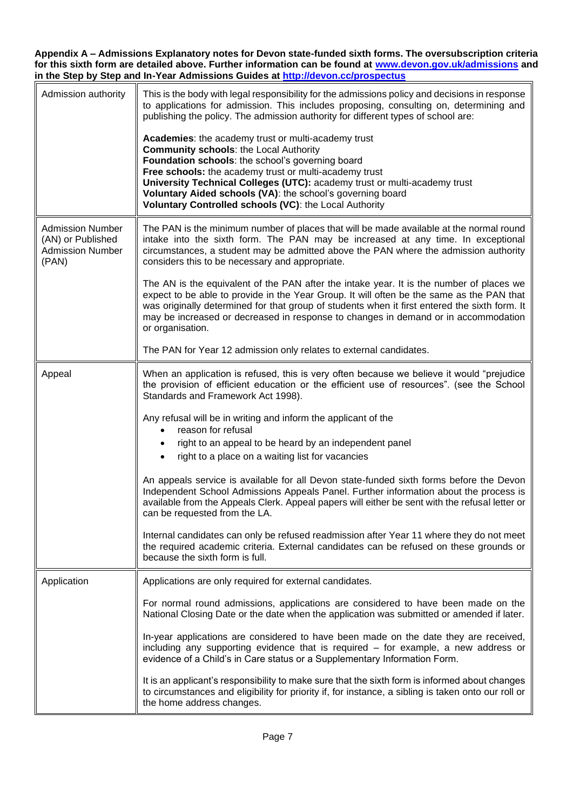<span id="page-6-0"></span>**Appendix A – Admissions Explanatory notes for Devon state-funded sixth forms. The oversubscription criteria for this sixth form are detailed above. Further information can be found at [www.devon.gov.uk/admissions](http://www.devon.gov.uk/admissions) and in the Step by Step and In-Year Admissions Guides at<http://devon.cc/prospectus>**

| Admission authority                                                              | This is the body with legal responsibility for the admissions policy and decisions in response<br>to applications for admission. This includes proposing, consulting on, determining and<br>publishing the policy. The admission authority for different types of school are:<br>Academies: the academy trust or multi-academy trust                                                             |
|----------------------------------------------------------------------------------|--------------------------------------------------------------------------------------------------------------------------------------------------------------------------------------------------------------------------------------------------------------------------------------------------------------------------------------------------------------------------------------------------|
|                                                                                  | <b>Community schools: the Local Authority</b><br>Foundation schools: the school's governing board<br>Free schools: the academy trust or multi-academy trust<br>University Technical Colleges (UTC): academy trust or multi-academy trust<br>Voluntary Aided schools (VA): the school's governing board<br>Voluntary Controlled schools (VC): the Local Authority                                 |
| <b>Admission Number</b><br>(AN) or Published<br><b>Admission Number</b><br>(PAN) | The PAN is the minimum number of places that will be made available at the normal round<br>intake into the sixth form. The PAN may be increased at any time. In exceptional<br>circumstances, a student may be admitted above the PAN where the admission authority<br>considers this to be necessary and appropriate.                                                                           |
|                                                                                  | The AN is the equivalent of the PAN after the intake year. It is the number of places we<br>expect to be able to provide in the Year Group. It will often be the same as the PAN that<br>was originally determined for that group of students when it first entered the sixth form. It<br>may be increased or decreased in response to changes in demand or in accommodation<br>or organisation. |
|                                                                                  | The PAN for Year 12 admission only relates to external candidates.                                                                                                                                                                                                                                                                                                                               |
| Appeal                                                                           | When an application is refused, this is very often because we believe it would "prejudice<br>the provision of efficient education or the efficient use of resources". (see the School<br>Standards and Framework Act 1998).                                                                                                                                                                      |
|                                                                                  | Any refusal will be in writing and inform the applicant of the<br>reason for refusal                                                                                                                                                                                                                                                                                                             |
|                                                                                  | right to an appeal to be heard by an independent panel<br>right to a place on a waiting list for vacancies                                                                                                                                                                                                                                                                                       |
|                                                                                  | An appeals service is available for all Devon state-funded sixth forms before the Devon<br>Independent School Admissions Appeals Panel. Further information about the process is<br>available from the Appeals Clerk. Appeal papers will either be sent with the refusal letter or<br>can be requested from the LA.                                                                              |
|                                                                                  | Internal candidates can only be refused readmission after Year 11 where they do not meet<br>the required academic criteria. External candidates can be refused on these grounds or<br>because the sixth form is full.                                                                                                                                                                            |
| Application                                                                      | Applications are only required for external candidates.                                                                                                                                                                                                                                                                                                                                          |
|                                                                                  | For normal round admissions, applications are considered to have been made on the<br>National Closing Date or the date when the application was submitted or amended if later.                                                                                                                                                                                                                   |
|                                                                                  | In-year applications are considered to have been made on the date they are received,<br>including any supporting evidence that is required - for example, a new address or<br>evidence of a Child's in Care status or a Supplementary Information Form.                                                                                                                                          |
|                                                                                  | It is an applicant's responsibility to make sure that the sixth form is informed about changes<br>to circumstances and eligibility for priority if, for instance, a sibling is taken onto our roll or<br>the home address changes.                                                                                                                                                               |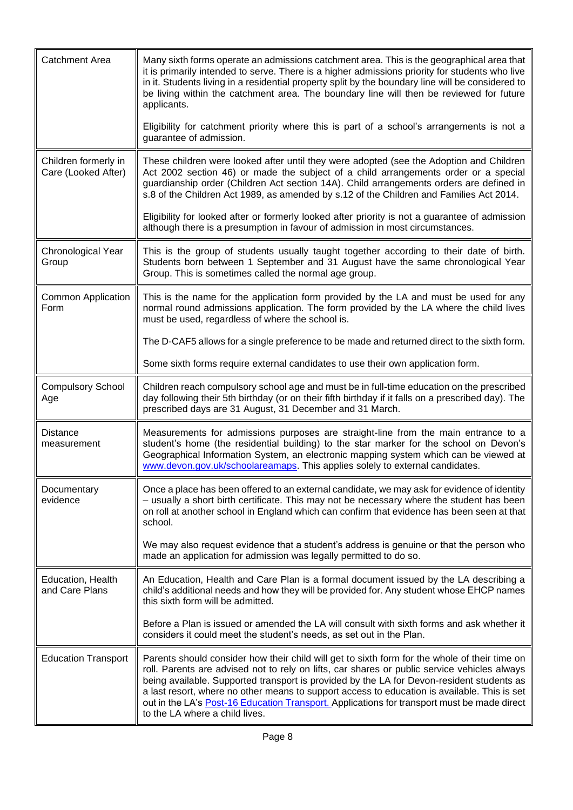<span id="page-7-0"></span>

| <b>Catchment Area</b>                       | Many sixth forms operate an admissions catchment area. This is the geographical area that<br>it is primarily intended to serve. There is a higher admissions priority for students who live<br>in it. Students living in a residential property split by the boundary line will be considered to<br>be living within the catchment area. The boundary line will then be reviewed for future<br>applicants.                                                                                                                  |
|---------------------------------------------|-----------------------------------------------------------------------------------------------------------------------------------------------------------------------------------------------------------------------------------------------------------------------------------------------------------------------------------------------------------------------------------------------------------------------------------------------------------------------------------------------------------------------------|
|                                             | Eligibility for catchment priority where this is part of a school's arrangements is not a<br>guarantee of admission.                                                                                                                                                                                                                                                                                                                                                                                                        |
| Children formerly in<br>Care (Looked After) | These children were looked after until they were adopted (see the Adoption and Children<br>Act 2002 section 46) or made the subject of a child arrangements order or a special<br>guardianship order (Children Act section 14A). Child arrangements orders are defined in<br>s.8 of the Children Act 1989, as amended by s.12 of the Children and Families Act 2014.                                                                                                                                                        |
|                                             | Eligibility for looked after or formerly looked after priority is not a guarantee of admission<br>although there is a presumption in favour of admission in most circumstances.                                                                                                                                                                                                                                                                                                                                             |
| Chronological Year<br>Group                 | This is the group of students usually taught together according to their date of birth.<br>Students born between 1 September and 31 August have the same chronological Year<br>Group. This is sometimes called the normal age group.                                                                                                                                                                                                                                                                                        |
| <b>Common Application</b><br>Form           | This is the name for the application form provided by the LA and must be used for any<br>normal round admissions application. The form provided by the LA where the child lives<br>must be used, regardless of where the school is.                                                                                                                                                                                                                                                                                         |
|                                             | The D-CAF5 allows for a single preference to be made and returned direct to the sixth form.                                                                                                                                                                                                                                                                                                                                                                                                                                 |
|                                             | Some sixth forms require external candidates to use their own application form.                                                                                                                                                                                                                                                                                                                                                                                                                                             |
| <b>Compulsory School</b><br>Age             | Children reach compulsory school age and must be in full-time education on the prescribed<br>day following their 5th birthday (or on their fifth birthday if it falls on a prescribed day). The<br>prescribed days are 31 August, 31 December and 31 March.                                                                                                                                                                                                                                                                 |
| <b>Distance</b><br>measurement              | Measurements for admissions purposes are straight-line from the main entrance to a<br>student's home (the residential building) to the star marker for the school on Devon's<br>Geographical Information System, an electronic mapping system which can be viewed at<br>www.devon.gov.uk/schoolareamaps. This applies solely to external candidates.                                                                                                                                                                        |
| Documentary<br>evidence                     | Once a place has been offered to an external candidate, we may ask for evidence of identity<br>- usually a short birth certificate. This may not be necessary where the student has been<br>on roll at another school in England which can confirm that evidence has been seen at that<br>school.                                                                                                                                                                                                                           |
|                                             | We may also request evidence that a student's address is genuine or that the person who<br>made an application for admission was legally permitted to do so.                                                                                                                                                                                                                                                                                                                                                                |
| Education, Health<br>and Care Plans         | An Education, Health and Care Plan is a formal document issued by the LA describing a<br>child's additional needs and how they will be provided for. Any student whose EHCP names<br>this sixth form will be admitted.                                                                                                                                                                                                                                                                                                      |
|                                             | Before a Plan is issued or amended the LA will consult with sixth forms and ask whether it<br>considers it could meet the student's needs, as set out in the Plan.                                                                                                                                                                                                                                                                                                                                                          |
| <b>Education Transport</b>                  | Parents should consider how their child will get to sixth form for the whole of their time on<br>roll. Parents are advised not to rely on lifts, car shares or public service vehicles always<br>being available. Supported transport is provided by the LA for Devon-resident students as<br>a last resort, where no other means to support access to education is available. This is set<br>out in the LA's Post-16 Education Transport. Applications for transport must be made direct<br>to the LA where a child lives. |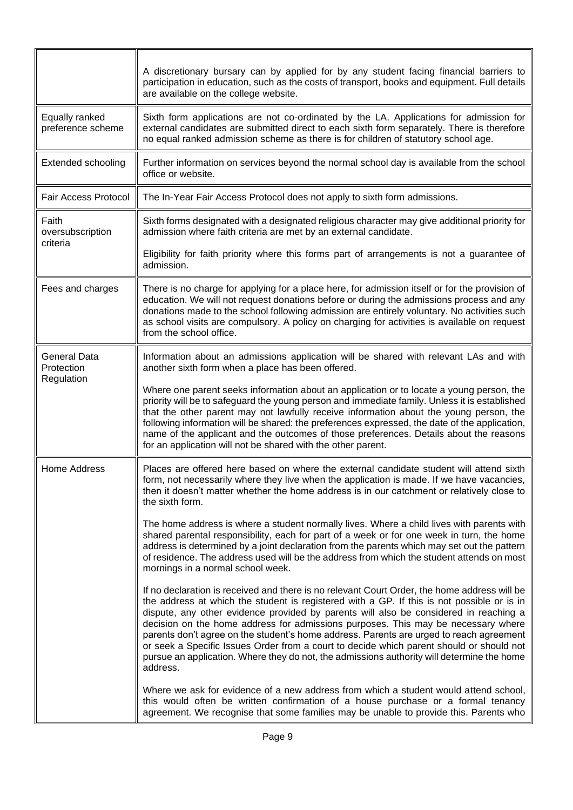<span id="page-8-0"></span>

|                                     | A discretionary bursary can by applied for by any student facing financial barriers to<br>participation in education, such as the costs of transport, books and equipment. Full details<br>are available on the college website.                                                                                                                                                                                                                                                                                                                                                                                                                                          |
|-------------------------------------|---------------------------------------------------------------------------------------------------------------------------------------------------------------------------------------------------------------------------------------------------------------------------------------------------------------------------------------------------------------------------------------------------------------------------------------------------------------------------------------------------------------------------------------------------------------------------------------------------------------------------------------------------------------------------|
| Equally ranked<br>preference scheme | Sixth form applications are not co-ordinated by the LA. Applications for admission for<br>external candidates are submitted direct to each sixth form separately. There is therefore<br>no equal ranked admission scheme as there is for children of statutory school age.                                                                                                                                                                                                                                                                                                                                                                                                |
| <b>Extended schooling</b>           | Further information on services beyond the normal school day is available from the school<br>office or website.                                                                                                                                                                                                                                                                                                                                                                                                                                                                                                                                                           |
| <b>Fair Access Protocol</b>         | The In-Year Fair Access Protocol does not apply to sixth form admissions.                                                                                                                                                                                                                                                                                                                                                                                                                                                                                                                                                                                                 |
| Faith<br>oversubscription           | Sixth forms designated with a designated religious character may give additional priority for<br>admission where faith criteria are met by an external candidate.                                                                                                                                                                                                                                                                                                                                                                                                                                                                                                         |
| criteria                            | Eligibility for faith priority where this forms part of arrangements is not a guarantee of<br>admission.                                                                                                                                                                                                                                                                                                                                                                                                                                                                                                                                                                  |
| Fees and charges                    | There is no charge for applying for a place here, for admission itself or for the provision of<br>education. We will not request donations before or during the admissions process and any<br>donations made to the school following admission are entirely voluntary. No activities such<br>as school visits are compulsory. A policy on charging for activities is available on request<br>from the school office.                                                                                                                                                                                                                                                      |
| <b>General Data</b><br>Protection   | Information about an admissions application will be shared with relevant LAs and with<br>another sixth form when a place has been offered.                                                                                                                                                                                                                                                                                                                                                                                                                                                                                                                                |
| Regulation                          | Where one parent seeks information about an application or to locate a young person, the<br>priority will be to safeguard the young person and immediate family. Unless it is established<br>that the other parent may not lawfully receive information about the young person, the<br>following information will be shared: the preferences expressed, the date of the application,<br>name of the applicant and the outcomes of those preferences. Details about the reasons<br>for an application will not be shared with the other parent.                                                                                                                            |
| Home Address                        | Places are offered here based on where the external candidate student will attend sixth<br>form, not necessarily where they live when the application is made. If we have vacancies,<br>then it doesn't matter whether the home address is in our catchment or relatively close to<br>the sixth form.                                                                                                                                                                                                                                                                                                                                                                     |
|                                     | The home address is where a student normally lives. Where a child lives with parents with<br>shared parental responsibility, each for part of a week or for one week in turn, the home<br>address is determined by a joint declaration from the parents which may set out the pattern<br>of residence. The address used will be the address from which the student attends on most<br>mornings in a normal school week.                                                                                                                                                                                                                                                   |
|                                     | If no declaration is received and there is no relevant Court Order, the home address will be<br>the address at which the student is registered with a GP. If this is not possible or is in<br>dispute, any other evidence provided by parents will also be considered in reaching a<br>decision on the home address for admissions purposes. This may be necessary where<br>parents don't agree on the student's home address. Parents are urged to reach agreement<br>or seek a Specific Issues Order from a court to decide which parent should or should not<br>pursue an application. Where they do not, the admissions authority will determine the home<br>address. |
|                                     | Where we ask for evidence of a new address from which a student would attend school,<br>this would often be written confirmation of a house purchase or a formal tenancy<br>agreement. We recognise that some families may be unable to provide this. Parents who                                                                                                                                                                                                                                                                                                                                                                                                         |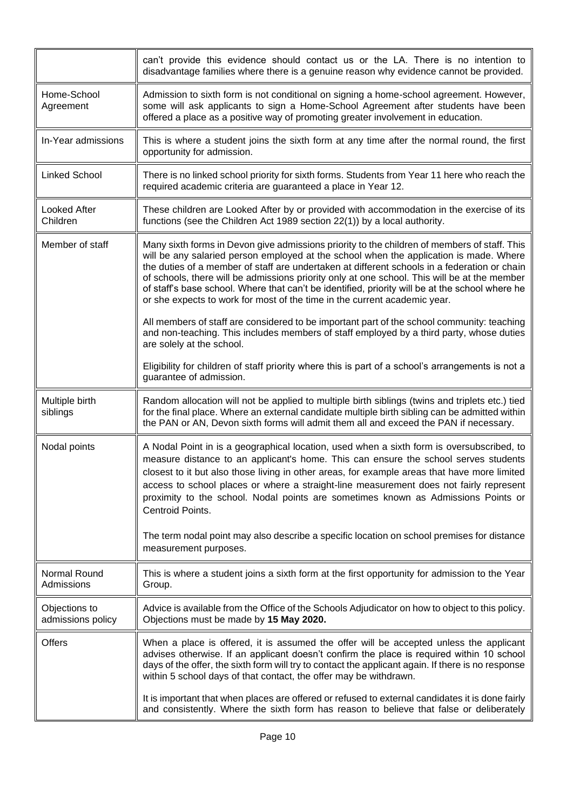<span id="page-9-0"></span>

|                                    | can't provide this evidence should contact us or the LA. There is no intention to<br>disadvantage families where there is a genuine reason why evidence cannot be provided.                                                                                                                                                                                                                                                                                                                                                                                            |
|------------------------------------|------------------------------------------------------------------------------------------------------------------------------------------------------------------------------------------------------------------------------------------------------------------------------------------------------------------------------------------------------------------------------------------------------------------------------------------------------------------------------------------------------------------------------------------------------------------------|
| Home-School<br>Agreement           | Admission to sixth form is not conditional on signing a home-school agreement. However,<br>some will ask applicants to sign a Home-School Agreement after students have been<br>offered a place as a positive way of promoting greater involvement in education.                                                                                                                                                                                                                                                                                                       |
| In-Year admissions                 | This is where a student joins the sixth form at any time after the normal round, the first<br>opportunity for admission.                                                                                                                                                                                                                                                                                                                                                                                                                                               |
| <b>Linked School</b>               | There is no linked school priority for sixth forms. Students from Year 11 here who reach the<br>required academic criteria are guaranteed a place in Year 12.                                                                                                                                                                                                                                                                                                                                                                                                          |
| Looked After<br>Children           | These children are Looked After by or provided with accommodation in the exercise of its<br>functions (see the Children Act 1989 section 22(1)) by a local authority.                                                                                                                                                                                                                                                                                                                                                                                                  |
| Member of staff                    | Many sixth forms in Devon give admissions priority to the children of members of staff. This<br>will be any salaried person employed at the school when the application is made. Where<br>the duties of a member of staff are undertaken at different schools in a federation or chain<br>of schools, there will be admissions priority only at one school. This will be at the member<br>of staff's base school. Where that can't be identified, priority will be at the school where he<br>or she expects to work for most of the time in the current academic year. |
|                                    | All members of staff are considered to be important part of the school community: teaching<br>and non-teaching. This includes members of staff employed by a third party, whose duties<br>are solely at the school.                                                                                                                                                                                                                                                                                                                                                    |
|                                    | Eligibility for children of staff priority where this is part of a school's arrangements is not a<br>guarantee of admission.                                                                                                                                                                                                                                                                                                                                                                                                                                           |
| Multiple birth<br>siblings         | Random allocation will not be applied to multiple birth siblings (twins and triplets etc.) tied<br>for the final place. Where an external candidate multiple birth sibling can be admitted within<br>the PAN or AN, Devon sixth forms will admit them all and exceed the PAN if necessary.                                                                                                                                                                                                                                                                             |
| Nodal points                       | A Nodal Point in is a geographical location, used when a sixth form is oversubscribed, to<br>measure distance to an applicant's home. This can ensure the school serves students<br>closest to it but also those living in other areas, for example areas that have more limited<br>access to school places or where a straight-line measurement does not fairly represent<br>proximity to the school. Nodal points are sometimes known as Admissions Points or<br>Centroid Points.                                                                                    |
|                                    | The term nodal point may also describe a specific location on school premises for distance<br>measurement purposes.                                                                                                                                                                                                                                                                                                                                                                                                                                                    |
| Normal Round<br>Admissions         | This is where a student joins a sixth form at the first opportunity for admission to the Year<br>Group.                                                                                                                                                                                                                                                                                                                                                                                                                                                                |
| Objections to<br>admissions policy | Advice is available from the Office of the Schools Adjudicator on how to object to this policy.<br>Objections must be made by 15 May 2020.                                                                                                                                                                                                                                                                                                                                                                                                                             |
| <b>Offers</b>                      | When a place is offered, it is assumed the offer will be accepted unless the applicant<br>advises otherwise. If an applicant doesn't confirm the place is required within 10 school<br>days of the offer, the sixth form will try to contact the applicant again. If there is no response<br>within 5 school days of that contact, the offer may be withdrawn.                                                                                                                                                                                                         |
|                                    | It is important that when places are offered or refused to external candidates it is done fairly<br>and consistently. Where the sixth form has reason to believe that false or deliberately                                                                                                                                                                                                                                                                                                                                                                            |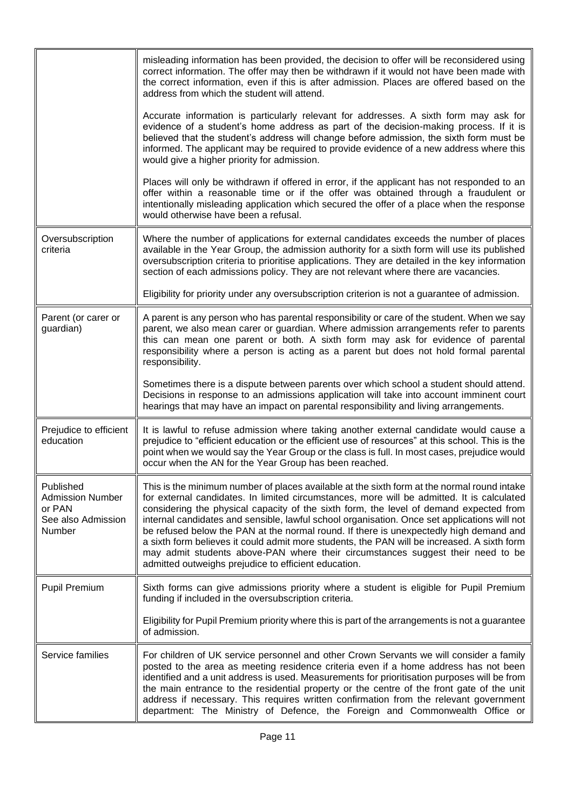<span id="page-10-1"></span><span id="page-10-0"></span>

|                                                                                | misleading information has been provided, the decision to offer will be reconsidered using<br>correct information. The offer may then be withdrawn if it would not have been made with<br>the correct information, even if this is after admission. Places are offered based on the<br>address from which the student will attend.                                                                                                                                                                                                                                                                                                                                                                                      |
|--------------------------------------------------------------------------------|-------------------------------------------------------------------------------------------------------------------------------------------------------------------------------------------------------------------------------------------------------------------------------------------------------------------------------------------------------------------------------------------------------------------------------------------------------------------------------------------------------------------------------------------------------------------------------------------------------------------------------------------------------------------------------------------------------------------------|
|                                                                                | Accurate information is particularly relevant for addresses. A sixth form may ask for<br>evidence of a student's home address as part of the decision-making process. If it is<br>believed that the student's address will change before admission, the sixth form must be<br>informed. The applicant may be required to provide evidence of a new address where this<br>would give a higher priority for admission.                                                                                                                                                                                                                                                                                                    |
|                                                                                | Places will only be withdrawn if offered in error, if the applicant has not responded to an<br>offer within a reasonable time or if the offer was obtained through a fraudulent or<br>intentionally misleading application which secured the offer of a place when the response<br>would otherwise have been a refusal.                                                                                                                                                                                                                                                                                                                                                                                                 |
| Oversubscription<br>criteria                                                   | Where the number of applications for external candidates exceeds the number of places<br>available in the Year Group, the admission authority for a sixth form will use its published<br>oversubscription criteria to prioritise applications. They are detailed in the key information<br>section of each admissions policy. They are not relevant where there are vacancies.                                                                                                                                                                                                                                                                                                                                          |
|                                                                                | Eligibility for priority under any oversubscription criterion is not a guarantee of admission.                                                                                                                                                                                                                                                                                                                                                                                                                                                                                                                                                                                                                          |
| Parent (or carer or<br>guardian)                                               | A parent is any person who has parental responsibility or care of the student. When we say<br>parent, we also mean carer or guardian. Where admission arrangements refer to parents<br>this can mean one parent or both. A sixth form may ask for evidence of parental<br>responsibility where a person is acting as a parent but does not hold formal parental<br>responsibility.                                                                                                                                                                                                                                                                                                                                      |
|                                                                                | Sometimes there is a dispute between parents over which school a student should attend.<br>Decisions in response to an admissions application will take into account imminent court<br>hearings that may have an impact on parental responsibility and living arrangements.                                                                                                                                                                                                                                                                                                                                                                                                                                             |
| Prejudice to efficient<br>education                                            | It is lawful to refuse admission where taking another external candidate would cause a<br>prejudice to "efficient education or the efficient use of resources" at this school. This is the<br>point when we would say the Year Group or the class is full. In most cases, prejudice would<br>occur when the AN for the Year Group has been reached.                                                                                                                                                                                                                                                                                                                                                                     |
| Published<br><b>Admission Number</b><br>or PAN<br>See also Admission<br>Number | This is the minimum number of places available at the sixth form at the normal round intake<br>for external candidates. In limited circumstances, more will be admitted. It is calculated<br>considering the physical capacity of the sixth form, the level of demand expected from<br>internal candidates and sensible, lawful school organisation. Once set applications will not<br>be refused below the PAN at the normal round. If there is unexpectedly high demand and<br>a sixth form believes it could admit more students, the PAN will be increased. A sixth form<br>may admit students above-PAN where their circumstances suggest their need to be<br>admitted outweighs prejudice to efficient education. |
| <b>Pupil Premium</b>                                                           | Sixth forms can give admissions priority where a student is eligible for Pupil Premium<br>funding if included in the oversubscription criteria.                                                                                                                                                                                                                                                                                                                                                                                                                                                                                                                                                                         |
|                                                                                | Eligibility for Pupil Premium priority where this is part of the arrangements is not a guarantee<br>of admission.                                                                                                                                                                                                                                                                                                                                                                                                                                                                                                                                                                                                       |
| Service families                                                               | For children of UK service personnel and other Crown Servants we will consider a family<br>posted to the area as meeting residence criteria even if a home address has not been<br>identified and a unit address is used. Measurements for prioritisation purposes will be from<br>the main entrance to the residential property or the centre of the front gate of the unit<br>address if necessary. This requires written confirmation from the relevant government<br>department: The Ministry of Defence, the Foreign and Commonwealth Office or                                                                                                                                                                    |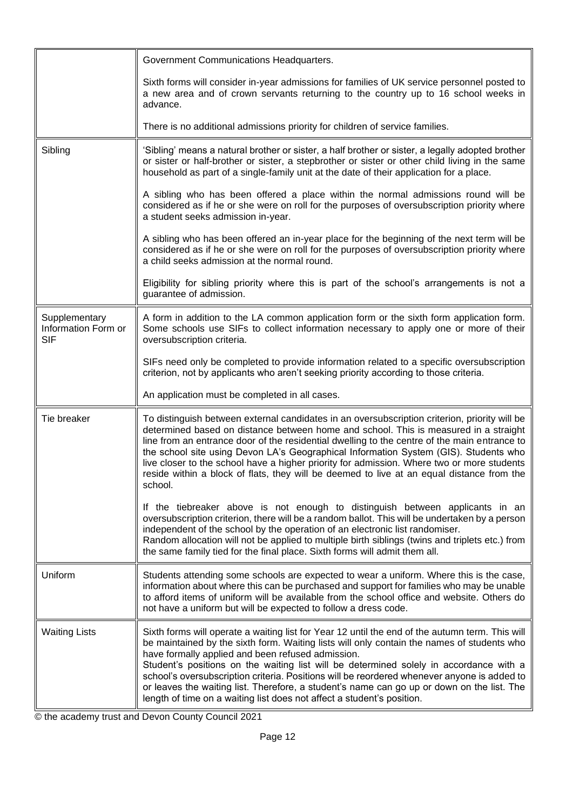<span id="page-11-0"></span>

|                                                    | Government Communications Headquarters.                                                                                                                                                                                                                                                                                                                                                                                                                                                                                                                                                                             |
|----------------------------------------------------|---------------------------------------------------------------------------------------------------------------------------------------------------------------------------------------------------------------------------------------------------------------------------------------------------------------------------------------------------------------------------------------------------------------------------------------------------------------------------------------------------------------------------------------------------------------------------------------------------------------------|
|                                                    | Sixth forms will consider in-year admissions for families of UK service personnel posted to<br>a new area and of crown servants returning to the country up to 16 school weeks in<br>advance.                                                                                                                                                                                                                                                                                                                                                                                                                       |
|                                                    | There is no additional admissions priority for children of service families.                                                                                                                                                                                                                                                                                                                                                                                                                                                                                                                                        |
| Sibling                                            | 'Sibling' means a natural brother or sister, a half brother or sister, a legally adopted brother<br>or sister or half-brother or sister, a stepbrother or sister or other child living in the same<br>household as part of a single-family unit at the date of their application for a place.                                                                                                                                                                                                                                                                                                                       |
|                                                    | A sibling who has been offered a place within the normal admissions round will be<br>considered as if he or she were on roll for the purposes of oversubscription priority where<br>a student seeks admission in-year.                                                                                                                                                                                                                                                                                                                                                                                              |
|                                                    | A sibling who has been offered an in-year place for the beginning of the next term will be<br>considered as if he or she were on roll for the purposes of oversubscription priority where<br>a child seeks admission at the normal round.                                                                                                                                                                                                                                                                                                                                                                           |
|                                                    | Eligibility for sibling priority where this is part of the school's arrangements is not a<br>guarantee of admission.                                                                                                                                                                                                                                                                                                                                                                                                                                                                                                |
| Supplementary<br>Information Form or<br><b>SIF</b> | A form in addition to the LA common application form or the sixth form application form.<br>Some schools use SIFs to collect information necessary to apply one or more of their<br>oversubscription criteria.                                                                                                                                                                                                                                                                                                                                                                                                      |
|                                                    | SIFs need only be completed to provide information related to a specific oversubscription<br>criterion, not by applicants who aren't seeking priority according to those criteria.                                                                                                                                                                                                                                                                                                                                                                                                                                  |
|                                                    | An application must be completed in all cases.                                                                                                                                                                                                                                                                                                                                                                                                                                                                                                                                                                      |
| Tie breaker                                        | To distinguish between external candidates in an oversubscription criterion, priority will be<br>determined based on distance between home and school. This is measured in a straight<br>line from an entrance door of the residential dwelling to the centre of the main entrance to<br>the school site using Devon LA's Geographical Information System (GIS). Students who<br>live closer to the school have a higher priority for admission. Where two or more students<br>reside within a block of flats, they will be deemed to live at an equal distance from the<br>school.                                 |
|                                                    | If the tiebreaker above is not enough to distinguish between applicants in an<br>oversubscription criterion, there will be a random ballot. This will be undertaken by a person<br>independent of the school by the operation of an electronic list randomiser.<br>Random allocation will not be applied to multiple birth siblings (twins and triplets etc.) from<br>the same family tied for the final place. Sixth forms will admit them all.                                                                                                                                                                    |
| Uniform                                            | Students attending some schools are expected to wear a uniform. Where this is the case,<br>information about where this can be purchased and support for families who may be unable<br>to afford items of uniform will be available from the school office and website. Others do<br>not have a uniform but will be expected to follow a dress code.                                                                                                                                                                                                                                                                |
| <b>Waiting Lists</b>                               | Sixth forms will operate a waiting list for Year 12 until the end of the autumn term. This will<br>be maintained by the sixth form. Waiting lists will only contain the names of students who<br>have formally applied and been refused admission.<br>Student's positions on the waiting list will be determined solely in accordance with a<br>school's oversubscription criteria. Positions will be reordered whenever anyone is added to<br>or leaves the waiting list. Therefore, a student's name can go up or down on the list. The<br>length of time on a waiting list does not affect a student's position. |

© the academy trust and Devon County Council 2021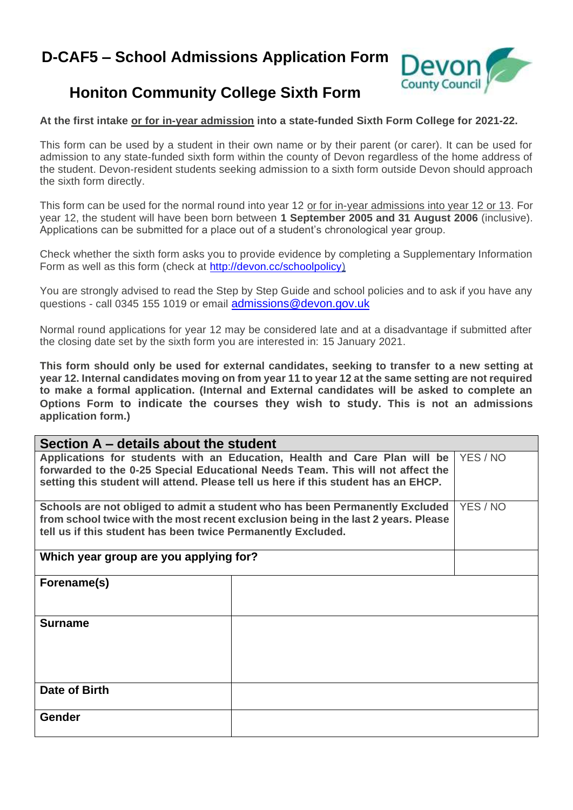## **D-CAF5 – School Admissions Application Form**



## **Honiton Community College Sixth Form**

### **At the first intake or for in-year admission into a state-funded Sixth Form College for 2021-22.**

This form can be used by a student in their own name or by their parent (or carer). It can be used for admission to any state-funded sixth form within the county of Devon regardless of the home address of the student. Devon-resident students seeking admission to a sixth form outside Devon should approach the sixth form directly.

This form can be used for the normal round into year 12 or for in-year admissions into year 12 or 13. For year 12, the student will have been born between **1 September 2005 and 31 August 2006** (inclusive). Applications can be submitted for a place out of a student's chronological year group.

Check whether the sixth form asks you to provide evidence by completing a Supplementary Information Form as well as this form (check at [http://devon.cc/schoolpolicy\)](http://devon.cc/schoolpolicy)

You are strongly advised to read the Step by Step Guide and school policies and to ask if you have any questions - call 0345 155 1019 or email [admissions@devon.gov.uk](mailto:admissions@devon.gov.uk)

Normal round applications for year 12 may be considered late and at a disadvantage if submitted after the closing date set by the sixth form you are interested in: 15 January 2021.

**This form should only be used for external candidates, seeking to transfer to a new setting at year 12. Internal candidates moving on from year 11 to year 12 at the same setting are not required to make a formal application. (Internal and External candidates will be asked to complete an Options Form to indicate the courses they wish to study. This is not an admissions application form.)**

| Section A – details about the student                                                                                                                                                                                                                         |          |  |  |
|---------------------------------------------------------------------------------------------------------------------------------------------------------------------------------------------------------------------------------------------------------------|----------|--|--|
| Applications for students with an Education, Health and Care Plan will be<br>YES / NO<br>forwarded to the 0-25 Special Educational Needs Team. This will not affect the<br>setting this student will attend. Please tell us here if this student has an EHCP. |          |  |  |
| Schools are not obliged to admit a student who has been Permanently Excluded<br>from school twice with the most recent exclusion being in the last 2 years. Please<br>tell us if this student has been twice Permanently Excluded.                            | YES / NO |  |  |
| Which year group are you applying for?                                                                                                                                                                                                                        |          |  |  |
| Forename(s)                                                                                                                                                                                                                                                   |          |  |  |
| <b>Surname</b>                                                                                                                                                                                                                                                |          |  |  |
| Date of Birth                                                                                                                                                                                                                                                 |          |  |  |
| <b>Gender</b>                                                                                                                                                                                                                                                 |          |  |  |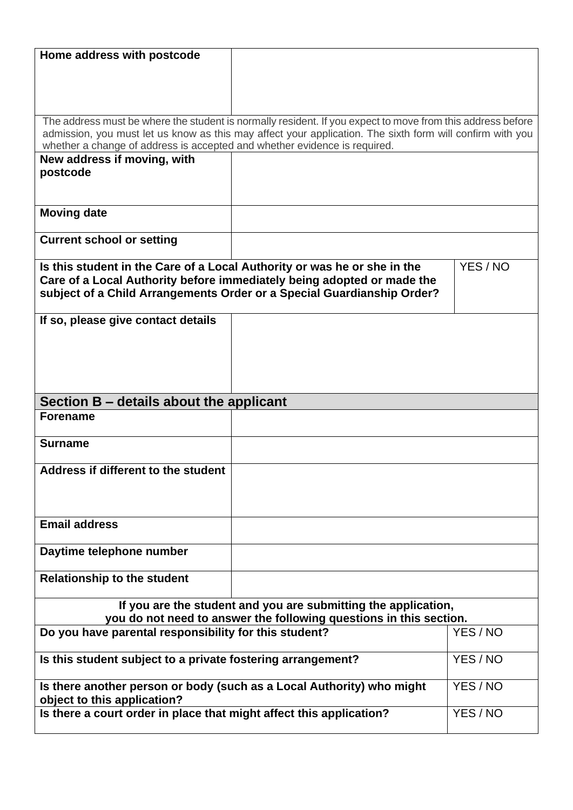| Home address with postcode                                                                           |                                                                                                            |          |
|------------------------------------------------------------------------------------------------------|------------------------------------------------------------------------------------------------------------|----------|
|                                                                                                      |                                                                                                            |          |
|                                                                                                      |                                                                                                            |          |
|                                                                                                      |                                                                                                            |          |
|                                                                                                      | The address must be where the student is normally resident. If you expect to move from this address before |          |
| whether a change of address is accepted and whether evidence is required.                            | admission, you must let us know as this may affect your application. The sixth form will confirm with you  |          |
| New address if moving, with                                                                          |                                                                                                            |          |
| postcode                                                                                             |                                                                                                            |          |
|                                                                                                      |                                                                                                            |          |
|                                                                                                      |                                                                                                            |          |
| <b>Moving date</b>                                                                                   |                                                                                                            |          |
| <b>Current school or setting</b>                                                                     |                                                                                                            |          |
|                                                                                                      |                                                                                                            |          |
|                                                                                                      | Is this student in the Care of a Local Authority or was he or she in the                                   | YES/NO   |
|                                                                                                      | Care of a Local Authority before immediately being adopted or made the                                     |          |
|                                                                                                      | subject of a Child Arrangements Order or a Special Guardianship Order?                                     |          |
| If so, please give contact details                                                                   |                                                                                                            |          |
|                                                                                                      |                                                                                                            |          |
|                                                                                                      |                                                                                                            |          |
|                                                                                                      |                                                                                                            |          |
|                                                                                                      |                                                                                                            |          |
| Section B - details about the applicant                                                              |                                                                                                            |          |
| <b>Forename</b>                                                                                      |                                                                                                            |          |
|                                                                                                      |                                                                                                            |          |
| <b>Surname</b>                                                                                       |                                                                                                            |          |
|                                                                                                      |                                                                                                            |          |
| Address if different to the student                                                                  |                                                                                                            |          |
|                                                                                                      |                                                                                                            |          |
|                                                                                                      |                                                                                                            |          |
| <b>Email address</b>                                                                                 |                                                                                                            |          |
| Daytime telephone number                                                                             |                                                                                                            |          |
|                                                                                                      |                                                                                                            |          |
| <b>Relationship to the student</b>                                                                   |                                                                                                            |          |
|                                                                                                      | If you are the student and you are submitting the application,                                             |          |
|                                                                                                      | you do not need to answer the following questions in this section.                                         |          |
| Do you have parental responsibility for this student?                                                |                                                                                                            | YES / NO |
|                                                                                                      |                                                                                                            |          |
| Is this student subject to a private fostering arrangement?                                          |                                                                                                            | YES / NO |
| Is there another person or body (such as a Local Authority) who might<br>object to this application? |                                                                                                            | YES / NO |
|                                                                                                      |                                                                                                            |          |
|                                                                                                      | Is there a court order in place that might affect this application?                                        | YES / NO |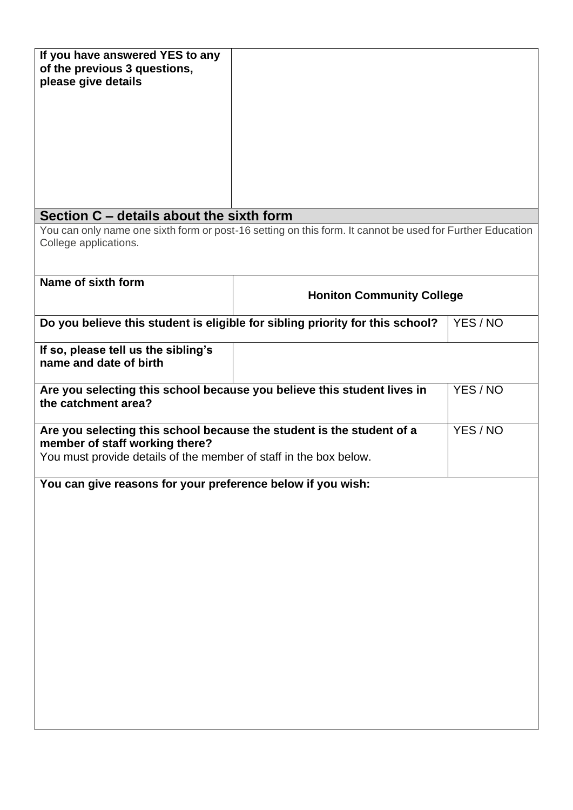| If you have answered YES to any<br>of the previous 3 questions,<br>please give details                                                                                                   |                                                                                                           |          |  |
|------------------------------------------------------------------------------------------------------------------------------------------------------------------------------------------|-----------------------------------------------------------------------------------------------------------|----------|--|
|                                                                                                                                                                                          |                                                                                                           |          |  |
|                                                                                                                                                                                          |                                                                                                           |          |  |
| Section C – details about the sixth form                                                                                                                                                 |                                                                                                           |          |  |
| College applications.                                                                                                                                                                    | You can only name one sixth form or post-16 setting on this form. It cannot be used for Further Education |          |  |
| Name of sixth form                                                                                                                                                                       | <b>Honiton Community College</b>                                                                          |          |  |
|                                                                                                                                                                                          | Do you believe this student is eligible for sibling priority for this school?                             | YES / NO |  |
| If so, please tell us the sibling's<br>name and date of birth                                                                                                                            |                                                                                                           |          |  |
| Are you selecting this school because you believe this student lives in<br>YES / NO<br>the catchment area?                                                                               |                                                                                                           |          |  |
| YES / NO<br>Are you selecting this school because the student is the student of a<br>member of staff working there?<br>You must provide details of the member of staff in the box below. |                                                                                                           |          |  |
| You can give reasons for your preference below if you wish:                                                                                                                              |                                                                                                           |          |  |
|                                                                                                                                                                                          |                                                                                                           |          |  |
|                                                                                                                                                                                          |                                                                                                           |          |  |
|                                                                                                                                                                                          |                                                                                                           |          |  |
|                                                                                                                                                                                          |                                                                                                           |          |  |
|                                                                                                                                                                                          |                                                                                                           |          |  |